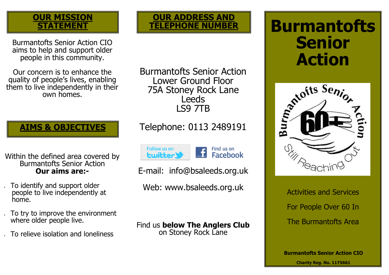# **OUR MISSION STATEMENT**

Burmantofts Senior Action CIO aims to help and support older people in this community.

Our concern is to enhance the quality of people's lives, enabling them to live independently in their own homes.

Burmantofts Senior Action Lower Ground Floor 75A Stoney Rock Lane **Leeds** LS9 7TB

**OUR ADDRESS AND TELEPHONE NUMBER**

**AIMS & OBJECTIVES**

Within the defined area covered by Burmantofts Senior Action **Our aims are:-**

- To identify and support older people to live independently at home.
- To try to improve the environment where older people live.
- To relieve isolation and loneliness

Telephone: 0113 2489191



Find us on £ **Facebook** 

E-mail: info@bsaleeds.org.uk

Web: www.bsaleeds.org.uk

Find us **below The Anglers Club**  on Stoney Rock Lane

# **Burmantofts Senior Action**



Activities and Services For People Over 60 In The Burmantofts Area

**Burmantofts Senior Action CIO Charity Reg. No. 1175661**